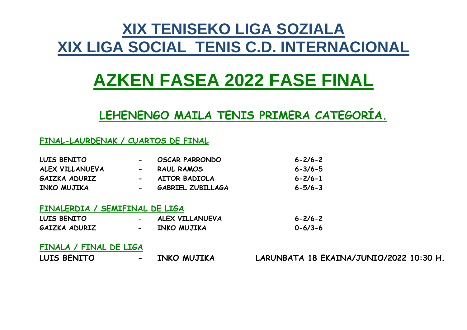# **XIX TENISEKO LIGA SOZIALA XIX LIGA SOCIAL TENIS C.D. INTERNACIONAL**

# **AZKEN FASEA 2022 FASE FINAL**

# **LEHENENGO MAILA TENIS PRIMERA CATEGORÍA.**

## **FINAL-LAURDENAK / CUARTOS DE FINAL**

| LUIS BENITO     | $\overline{\phantom{a}}$ | <b>OSCAR PARRONDO</b>    | $6 - 2/6 - 2$ |
|-----------------|--------------------------|--------------------------|---------------|
| ALEX VILLANUEVA | $\sim$                   | <b>RAUL RAMOS</b>        | $6 - 3/6 - 5$ |
| GAIZKA ADURIZ   | $\sim$                   | <b>AITOR BADIOLA</b>     | $6 - 2/6 - 1$ |
| INKO MUJIKA     | $\blacksquare$           | <b>GABRIEL ZUBILLAGA</b> | $6 - 5/6 - 3$ |
|                 |                          |                          |               |

### **FINALERDIA / SEMIFINAL DE LIGA**

| LUIS BENITO   |           | ALEX VILLANUEVA | $6 - 2/6 - 2$ |
|---------------|-----------|-----------------|---------------|
| GAIZKA ADURIZ | $\bullet$ | INKO MUJIKA     | $0 - 6/3 - 6$ |

### **FINALA / FINAL DE LIGA**

| LUIS BENITO | INKO MUJIKA | LARUNBATA 18 EKAINA/JUNIO/2022 10:30 H. |
|-------------|-------------|-----------------------------------------|
|-------------|-------------|-----------------------------------------|